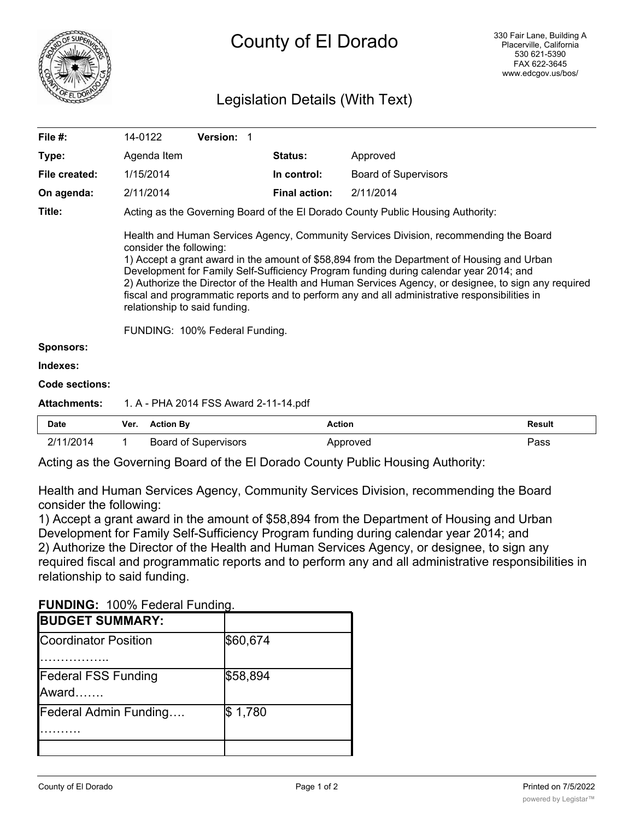

# Legislation Details (With Text)

| File #:             | 14-0122                                                                         | Version: 1                            |                      |                                                                                                                                                                                                                                                                                                                                                                                                                                                                                        |               |  |
|---------------------|---------------------------------------------------------------------------------|---------------------------------------|----------------------|----------------------------------------------------------------------------------------------------------------------------------------------------------------------------------------------------------------------------------------------------------------------------------------------------------------------------------------------------------------------------------------------------------------------------------------------------------------------------------------|---------------|--|
| Type:               | Agenda Item                                                                     |                                       | <b>Status:</b>       | Approved                                                                                                                                                                                                                                                                                                                                                                                                                                                                               |               |  |
| File created:       | 1/15/2014                                                                       |                                       | In control:          | <b>Board of Supervisors</b>                                                                                                                                                                                                                                                                                                                                                                                                                                                            |               |  |
| On agenda:          | 2/11/2014                                                                       |                                       | <b>Final action:</b> | 2/11/2014                                                                                                                                                                                                                                                                                                                                                                                                                                                                              |               |  |
| Title:              | Acting as the Governing Board of the El Dorado County Public Housing Authority: |                                       |                      |                                                                                                                                                                                                                                                                                                                                                                                                                                                                                        |               |  |
|                     | consider the following:<br>relationship to said funding.                        |                                       |                      | Health and Human Services Agency, Community Services Division, recommending the Board<br>1) Accept a grant award in the amount of \$58,894 from the Department of Housing and Urban<br>Development for Family Self-Sufficiency Program funding during calendar year 2014; and<br>2) Authorize the Director of the Health and Human Services Agency, or designee, to sign any required<br>fiscal and programmatic reports and to perform any and all administrative responsibilities in |               |  |
|                     |                                                                                 | FUNDING: 100% Federal Funding.        |                      |                                                                                                                                                                                                                                                                                                                                                                                                                                                                                        |               |  |
| <b>Sponsors:</b>    |                                                                                 |                                       |                      |                                                                                                                                                                                                                                                                                                                                                                                                                                                                                        |               |  |
| Indexes:            |                                                                                 |                                       |                      |                                                                                                                                                                                                                                                                                                                                                                                                                                                                                        |               |  |
| Code sections:      |                                                                                 |                                       |                      |                                                                                                                                                                                                                                                                                                                                                                                                                                                                                        |               |  |
| <b>Attachments:</b> |                                                                                 | 1. A - PHA 2014 FSS Award 2-11-14.pdf |                      |                                                                                                                                                                                                                                                                                                                                                                                                                                                                                        |               |  |
| Date                | <b>Action By</b><br>Ver.                                                        |                                       | <b>Action</b>        |                                                                                                                                                                                                                                                                                                                                                                                                                                                                                        | <b>Result</b> |  |

| 2/11/2014          |  | <b>Board of Supervisors</b> |  |  |             | Approved |  |  | Pass                                                                                                            |  |  |  |  |  |
|--------------------|--|-----------------------------|--|--|-------------|----------|--|--|-----------------------------------------------------------------------------------------------------------------|--|--|--|--|--|
| .<br>$\sim$ $\sim$ |  | $\sim$                      |  |  | ___________ |          |  |  | the contract of the contract of the contract of the contract of the contract of the contract of the contract of |  |  |  |  |  |

Acting as the Governing Board of the El Dorado County Public Housing Authority:

Health and Human Services Agency, Community Services Division, recommending the Board consider the following:

1) Accept a grant award in the amount of \$58,894 from the Department of Housing and Urban Development for Family Self-Sufficiency Program funding during calendar year 2014; and 2) Authorize the Director of the Health and Human Services Agency, or designee, to sign any required fiscal and programmatic reports and to perform any and all administrative responsibilities in relationship to said funding.

**FUNDING:** 100% Federal Funding.

| <b>I UNDING.</b> TOO 70 Federal Funding. |          |
|------------------------------------------|----------|
| <b>BUDGET SUMMARY:</b>                   |          |
| <b>Coordinator Position</b>              | \$60,674 |
| <b>Federal FSS Funding</b><br>Award      | \$58,894 |
| <b>Federal Admin Funding</b>             | \$1,780  |
|                                          |          |